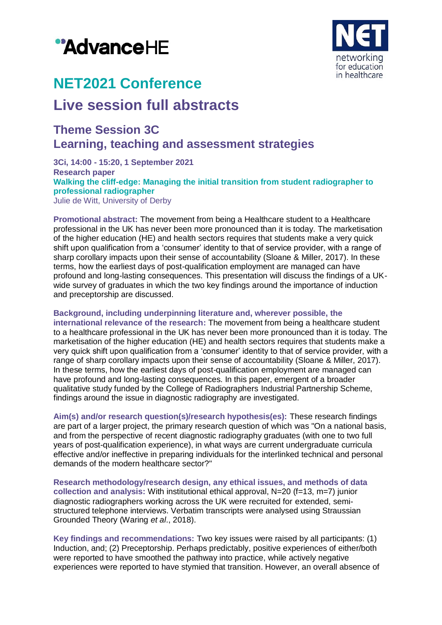# "AdvanceHE



# **NET2021 Conference**

## **Live session full abstracts**

### **Theme Session 3C Learning, teaching and assessment strategies**

**3Ci, 14:00 - 15:20, 1 September 2021 Research paper Walking the cliff-edge: Managing the initial transition from student radiographer to professional radiographer** Julie de Witt, University of Derby

**Promotional abstract:** The movement from being a Healthcare student to a Healthcare professional in the UK has never been more pronounced than it is today. The marketisation of the higher education (HE) and health sectors requires that students make a very quick shift upon qualification from a 'consumer' identity to that of service provider, with a range of sharp corollary impacts upon their sense of accountability (Sloane & Miller, 2017). In these terms, how the earliest days of post-qualification employment are managed can have profound and long-lasting consequences. This presentation will discuss the findings of a UKwide survey of graduates in which the two key findings around the importance of induction and preceptorship are discussed.

#### **Background, including underpinning literature and, wherever possible, the**

**international relevance of the research:** The movement from being a healthcare student to a healthcare professional in the UK has never been more pronounced than it is today. The marketisation of the higher education (HE) and health sectors requires that students make a very quick shift upon qualification from a 'consumer' identity to that of service provider, with a range of sharp corollary impacts upon their sense of accountability (Sloane & Miller, 2017). In these terms, how the earliest days of post-qualification employment are managed can have profound and long-lasting consequences. In this paper, emergent of a broader qualitative study funded by the College of Radiographers Industrial Partnership Scheme, findings around the issue in diagnostic radiography are investigated.

**Aim(s) and/or research question(s)/research hypothesis(es):** These research findings are part of a larger project, the primary research question of which was "On a national basis, and from the perspective of recent diagnostic radiography graduates (with one to two full years of post-qualification experience), in what ways are current undergraduate curricula effective and/or ineffective in preparing individuals for the interlinked technical and personal demands of the modern healthcare sector?"

**Research methodology/research design, any ethical issues, and methods of data collection and analysis:** With institutional ethical approval, N=20 (f=13, m=7) junior diagnostic radiographers working across the UK were recruited for extended, semistructured telephone interviews. Verbatim transcripts were analysed using Straussian Grounded Theory (Waring *et al*., 2018).

**Key findings and recommendations:** Two key issues were raised by all participants: (1) Induction, and; (2) Preceptorship. Perhaps predictably, positive experiences of either/both were reported to have smoothed the pathway into practice, while actively negative experiences were reported to have stymied that transition. However, an overall absence of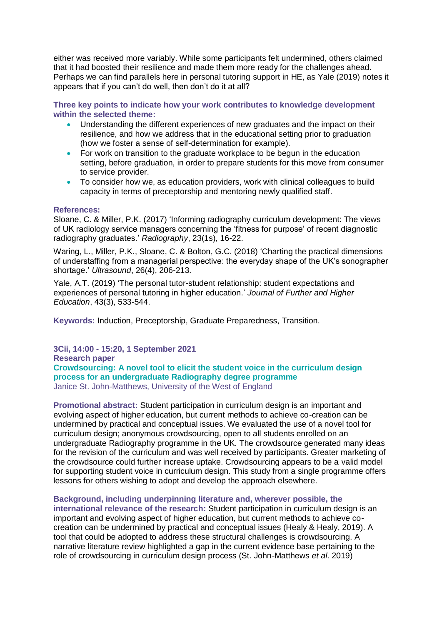either was received more variably. While some participants felt undermined, others claimed that it had boosted their resilience and made them more ready for the challenges ahead. Perhaps we can find parallels here in personal tutoring support in HE, as Yale (2019) notes it appears that if you can't do well, then don't do it at all?

**Three key points to indicate how your work contributes to knowledge development within the selected theme:**

- Understanding the different experiences of new graduates and the impact on their resilience, and how we address that in the educational setting prior to graduation (how we foster a sense of self-determination for example).
- For work on transition to the graduate workplace to be begun in the education setting, before graduation, in order to prepare students for this move from consumer to service provider.
- To consider how we, as education providers, work with clinical colleagues to build capacity in terms of preceptorship and mentoring newly qualified staff.

#### **References:**

Sloane, C. & Miller, P.K. (2017) 'Informing radiography curriculum development: The views of UK radiology service managers concerning the 'fitness for purpose' of recent diagnostic radiography graduates.' *Radiography*, 23(1s), 16-22.

Waring, L., Miller, P.K., Sloane, C. & Bolton, G.C. (2018) 'Charting the practical dimensions of understaffing from a managerial perspective: the everyday shape of the UK's sonographer shortage.' *Ultrasound*, 26(4), 206-213.

Yale, A.T. (2019) 'The personal tutor-student relationship: student expectations and experiences of personal tutoring in higher education.' *Journal of Further and Higher Education*, 43(3), 533-544.

**Keywords:** Induction, Preceptorship, Graduate Preparedness, Transition.

**3Cii, 14:00 - 15:20, 1 September 2021**

**Research paper**

**Crowdsourcing: A novel tool to elicit the student voice in the curriculum design process for an undergraduate Radiography degree programme** Janice St. John-Matthews, University of the West of England

**Promotional abstract:** Student participation in curriculum design is an important and evolving aspect of higher education, but current methods to achieve co-creation can be undermined by practical and conceptual issues. We evaluated the use of a novel tool for curriculum design; anonymous crowdsourcing, open to all students enrolled on an undergraduate Radiography programme in the UK. The crowdsource generated many ideas for the revision of the curriculum and was well received by participants. Greater marketing of the crowdsource could further increase uptake. Crowdsourcing appears to be a valid model for supporting student voice in curriculum design. This study from a single programme offers lessons for others wishing to adopt and develop the approach elsewhere.

**Background, including underpinning literature and, wherever possible, the international relevance of the research:** Student participation in curriculum design is an important and evolving aspect of higher education, but current methods to achieve cocreation can be undermined by practical and conceptual issues (Healy & Healy, 2019). A tool that could be adopted to address these structural challenges is crowdsourcing. A narrative literature review highlighted a gap in the current evidence base pertaining to the role of crowdsourcing in curriculum design process (St. John-Matthews *et al*. 2019)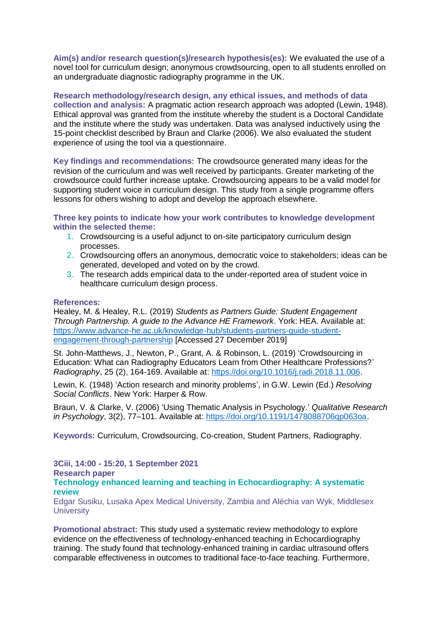**Aim(s) and/or research question(s)/research hypothesis(es):** We evaluated the use of a novel tool for curriculum design; anonymous crowdsourcing, open to all students enrolled on an undergraduate diagnostic radiography programme in the UK.

**Research methodology/research design, any ethical issues, and methods of data collection and analysis:** A pragmatic action research approach was adopted (Lewin, 1948). Ethical approval was granted from the institute whereby the student is a Doctoral Candidate and the institute where the study was undertaken. Data was analysed inductively using the 15-point checklist described by Braun and Clarke (2006). We also evaluated the student experience of using the tool via a questionnaire.

**Key findings and recommendations:** The crowdsource generated many ideas for the revision of the curriculum and was well received by participants. Greater marketing of the crowdsource could further increase uptake. Crowdsourcing appears to be a valid model for supporting student voice in curriculum design. This study from a single programme offers lessons for others wishing to adopt and develop the approach elsewhere.

**Three key points to indicate how your work contributes to knowledge development within the selected theme:**

- 1. Crowdsourcing is a useful adjunct to on-site participatory curriculum design processes.
- 2. Crowdsourcing offers an anonymous, democratic voice to stakeholders; ideas can be generated, developed and voted on by the crowd.
- 3. The research adds empirical data to the under-reported area of student voice in healthcare curriculum design process.

#### **References:**

Healey, M. & Healey, R.L. (2019) *Students as Partners Guide: Student Engagement Through Partnership. A guide to the Advance HE Framework*. York: HEA. Available at: [https://www.advance-he.ac.uk/knowledge-hub/students-partners-guide-student](https://www.advance-he.ac.uk/knowledge-hub/students-partners-guide-student-engagement-through-partnership)[engagement-through-partnership](https://www.advance-he.ac.uk/knowledge-hub/students-partners-guide-student-engagement-through-partnership) [Accessed 27 December 2019]

St. John-Matthews, J., Newton, P., Grant, A. & Robinson, L. (2019) 'Crowdsourcing in Education: What can Radiography Educators Learn from Other Healthcare Professions?' *Radiography*, 25 (2), 164-169. Available at: [https://doi.org/10.1016/j.radi.2018.11.006.](https://doi.org/10.1016/j.radi.2018.11.006)

Lewin, K. (1948) 'Action research and minority problems', in G.W. Lewin (Ed.) *Resolving Social Conflicts*. New York: Harper & Row.

Braun, V. & Clarke, V. (2006) 'Using Thematic Analysis in Psychology.' *Qualitative Research in Psychology*, 3(2), 77–101. Available at: [https://doi.org/10.1191/1478088706qp063oa.](https://doi.org/10.1191/1478088706qp063oa)

**Keywords:** Curriculum, Crowdsourcing, Co-creation, Student Partners, Radiography.

#### **3Ciii, 14:00 - 15:20, 1 September 2021**

**Research paper**

**Technology enhanced learning and teaching in Echocardiography: A systematic review**

Edgar Susiku, Lusaka Apex Medical University, Zambia and Aléchia van Wyk, Middlesex **University** 

**Promotional abstract:** This study used a systematic review methodology to explore evidence on the effectiveness of technology-enhanced teaching in Echocardiography training. The study found that technology-enhanced training in cardiac ultrasound offers comparable effectiveness in outcomes to traditional face-to-face teaching. Furthermore,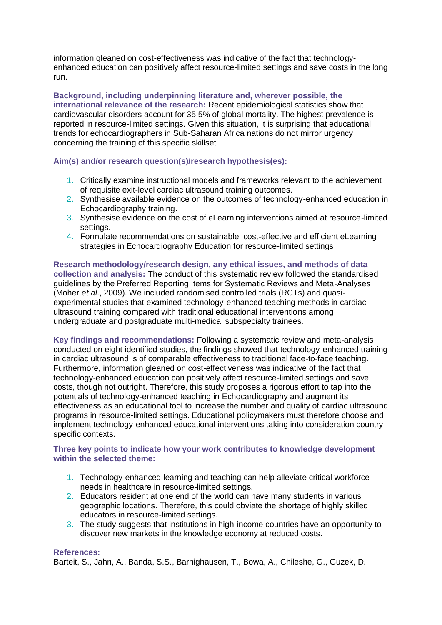information gleaned on cost-effectiveness was indicative of the fact that technologyenhanced education can positively affect resource-limited settings and save costs in the long run.

**Background, including underpinning literature and, wherever possible, the international relevance of the research:** Recent epidemiological statistics show that cardiovascular disorders account for 35.5% of global mortality. The highest prevalence is reported in resource-limited settings. Given this situation, it is surprising that educational trends for echocardiographers in Sub-Saharan Africa nations do not mirror urgency concerning the training of this specific skillset

#### **Aim(s) and/or research question(s)/research hypothesis(es):**

- 1. Critically examine instructional models and frameworks relevant to the achievement of requisite exit-level cardiac ultrasound training outcomes.
- 2. Synthesise available evidence on the outcomes of technology-enhanced education in Echocardiography training.
- 3. Synthesise evidence on the cost of eLearning interventions aimed at resource-limited settings.
- 4. Formulate recommendations on sustainable, cost-effective and efficient eLearning strategies in Echocardiography Education for resource-limited settings

**Research methodology/research design, any ethical issues, and methods of data collection and analysis:** The conduct of this systematic review followed the standardised guidelines by the Preferred Reporting Items for Systematic Reviews and Meta-Analyses (Moher *et al*., 2009). We included randomised controlled trials (RCTs) and quasiexperimental studies that examined technology-enhanced teaching methods in cardiac ultrasound training compared with traditional educational interventions among undergraduate and postgraduate multi-medical subspecialty trainees.

**Key findings and recommendations:** Following a systematic review and meta-analysis conducted on eight identified studies, the findings showed that technology-enhanced training in cardiac ultrasound is of comparable effectiveness to traditional face-to-face teaching. Furthermore, information gleaned on cost-effectiveness was indicative of the fact that technology-enhanced education can positively affect resource-limited settings and save costs, though not outright. Therefore, this study proposes a rigorous effort to tap into the potentials of technology-enhanced teaching in Echocardiography and augment its effectiveness as an educational tool to increase the number and quality of cardiac ultrasound programs in resource-limited settings. Educational policymakers must therefore choose and implement technology-enhanced educational interventions taking into consideration countryspecific contexts.

#### **Three key points to indicate how your work contributes to knowledge development within the selected theme:**

- 1. Technology-enhanced learning and teaching can help alleviate critical workforce needs in healthcare in resource-limited settings.
- 2. Educators resident at one end of the world can have many students in various geographic locations. Therefore, this could obviate the shortage of highly skilled educators in resource-limited settings.
- 3. The study suggests that institutions in high-income countries have an opportunity to discover new markets in the knowledge economy at reduced costs.

#### **References:**

Barteit, S., Jahn, A., Banda, S.S., Barnighausen, T., Bowa, A., Chileshe, G., Guzek, D.,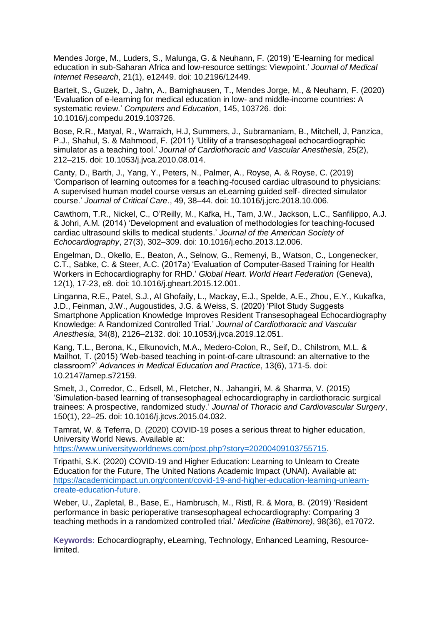Mendes Jorge, M., Luders, S., Malunga, G. & Neuhann, F. (2019) 'E-learning for medical education in sub-Saharan Africa and low-resource settings: Viewpoint.' *Journal of Medical Internet Research*, 21(1), e12449. doi: 10.2196/12449.

Barteit, S., Guzek, D., Jahn, A., Barnighausen, T., Mendes Jorge, M., & Neuhann, F. (2020) 'Evaluation of e-learning for medical education in low- and middle-income countries: A systematic review.' *Computers and Education*, 145, 103726. doi: 10.1016/j.compedu.2019.103726.

Bose, R.R., Matyal, R., Warraich, H.J, Summers, J., Subramaniam, B., Mitchell, J, Panzica, P.J., Shahul, S. & Mahmood, F. (2011) 'Utility of a transesophageal echocardiographic simulator as a teaching tool.' *Journal of Cardiothoracic and Vascular Anesthesia*, 25(2), 212–215. doi: 10.1053/j.jvca.2010.08.014.

Canty, D., Barth, J., Yang, Y., Peters, N., Palmer, A., Royse, A. & Royse, C. (2019) 'Comparison of learning outcomes for a teaching-focused cardiac ultrasound to physicians: A supervised human model course versus an eLearning guided self- directed simulator course.' *Journal of Critical Care*., 49, 38–44. doi: 10.1016/j.jcrc.2018.10.006.

Cawthorn, T.R., Nickel, C., O'Reilly, M., Kafka, H., Tam, J.W., Jackson, L.C., Sanfilippo, A.J. & Johri, A.M. (2014) 'Development and evaluation of methodologies for teaching-focused cardiac ultrasound skills to medical students.' *Journal of the American Society of Echocardiography*, 27(3), 302–309. doi: 10.1016/j.echo.2013.12.006.

Engelman, D., Okello, E., Beaton, A., Selnow, G., Remenyi, B., Watson, C., Longenecker, C.T., Sabke, C. & Steer, A.C. (2017a) 'Evaluation of Computer-Based Training for Health Workers in Echocardiography for RHD.' *Global Heart. World Heart Federation* (Geneva), 12(1), 17-23, e8. doi: 10.1016/j.gheart.2015.12.001.

Linganna, R.E., Patel, S.J., Al Ghofaily, L., Mackay, E.J., Spelde, A.E., Zhou, E.Y., Kukafka, J.D., Feinman, J.W., Augoustides, J.G. & Weiss, S. (2020) 'Pilot Study Suggests Smartphone Application Knowledge Improves Resident Transesophageal Echocardiography Knowledge: A Randomized Controlled Trial.' *Journal of Cardiothoracic and Vascular Anesthesia*, 34(8), 2126–2132. doi: 10.1053/j.jvca.2019.12.051.

Kang, T.L., Berona, K., Elkunovich, M.A., Medero-Colon, R., Seif, D., Chilstrom, M.L. & Mailhot, T. (2015) 'Web-based teaching in point-of-care ultrasound: an alternative to the classroom?' *Advances in Medical Education and Practice*, 13(6), 171-5. doi: 10.2147/amep.s72159.

Smelt, J., Corredor, C., Edsell, M., Fletcher, N., Jahangiri, M. & Sharma, V. (2015) 'Simulation-based learning of transesophageal echocardiography in cardiothoracic surgical trainees: A prospective, randomized study.' *Journal of Thoracic and Cardiovascular Surgery*, 150(1), 22–25. doi: 10.1016/j.jtcvs.2015.04.032.

Tamrat, W. & Teferra, D. (2020) COVID-19 poses a serious threat to higher education, University World News. Available at:

[https://www.universityworldnews.com/post.php?story=20200409103755715.](https://www.universityworldnews.com/post.php?story=20200409103755715)

Tripathi, S.K. (2020) COVID-19 and Higher Education: Learning to Unlearn to Create Education for the Future, The United Nations Academic Impact (UNAI). Available at: [https://academicimpact.un.org/content/covid-19-and-higher-education-learning-unlearn](https://academicimpact.un.org/content/covid-19-and-higher-education-learning-unlearn-create-education-future)[create-education-future.](https://academicimpact.un.org/content/covid-19-and-higher-education-learning-unlearn-create-education-future)

Weber, U., Zapletal, B., Base, E., Hambrusch, M., Ristl, R. & Mora, B. (2019) 'Resident performance in basic perioperative transesophageal echocardiography: Comparing 3 teaching methods in a randomized controlled trial.' *Medicine (Baltimore)*, 98(36), e17072.

**Keywords:** Echocardiography, eLearning, Technology, Enhanced Learning, Resourcelimited.